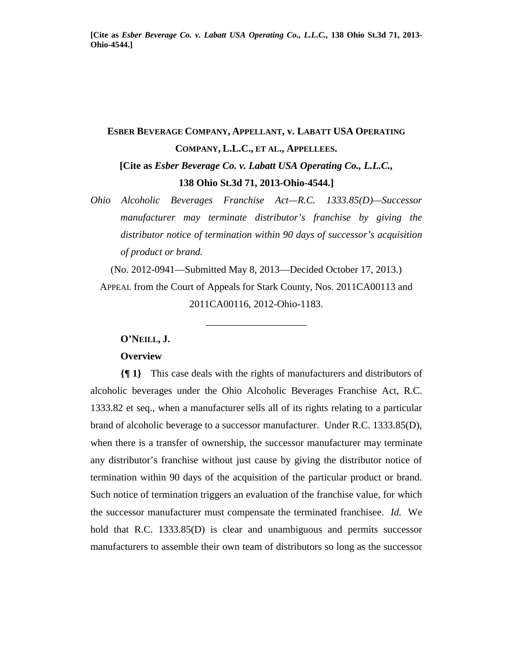# **ESBER BEVERAGE COMPANY, APPELLANT, v. LABATT USA OPERATING COMPANY, L.L.C., ET AL., APPELLEES. [Cite as** *Esber Beverage Co. v. Labatt USA Operating Co., L.L.C.,* **138 Ohio St.3d 71, 2013-Ohio-4544.]**

*Ohio Alcoholic Beverages Franchise Act—R.C. 1333.85(D)—Successor manufacturer may terminate distributor's franchise by giving the distributor notice of termination within 90 days of successor's acquisition of product or brand.* 

(No. 2012-0941—Submitted May 8, 2013—Decided October 17, 2013.) APPEAL from the Court of Appeals for Stark County, Nos. 2011CA00113 and 2011CA00116, 2012-Ohio-1183.

\_\_\_\_\_\_\_\_\_\_\_\_\_\_\_\_\_\_\_\_

#### **O'NEILL, J.**

### **Overview**

**{¶ 1}** This case deals with the rights of manufacturers and distributors of alcoholic beverages under the Ohio Alcoholic Beverages Franchise Act, R.C. 1333.82 et seq., when a manufacturer sells all of its rights relating to a particular brand of alcoholic beverage to a successor manufacturer. Under R.C. 1333.85(D), when there is a transfer of ownership, the successor manufacturer may terminate any distributor's franchise without just cause by giving the distributor notice of termination within 90 days of the acquisition of the particular product or brand. Such notice of termination triggers an evaluation of the franchise value, for which the successor manufacturer must compensate the terminated franchisee. *Id.* We hold that R.C. 1333.85(D) is clear and unambiguous and permits successor manufacturers to assemble their own team of distributors so long as the successor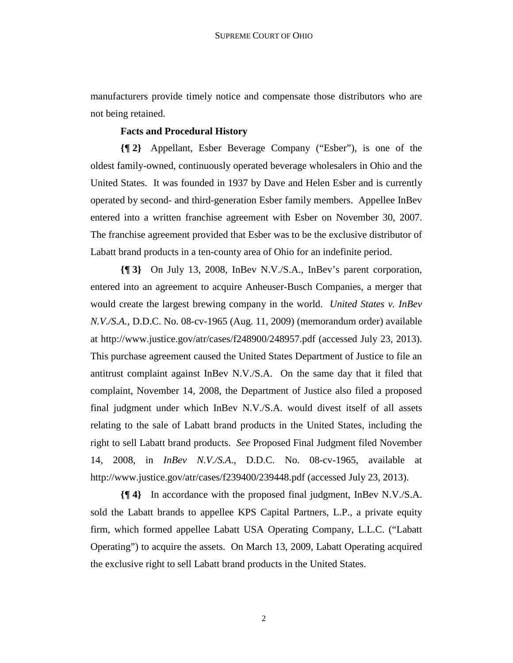manufacturers provide timely notice and compensate those distributors who are not being retained.

## **Facts and Procedural History**

**{¶ 2}** Appellant, Esber Beverage Company ("Esber"), is one of the oldest family-owned, continuously operated beverage wholesalers in Ohio and the United States. It was founded in 1937 by Dave and Helen Esber and is currently operated by second- and third-generation Esber family members. Appellee InBev entered into a written franchise agreement with Esber on November 30, 2007. The franchise agreement provided that Esber was to be the exclusive distributor of Labatt brand products in a ten-county area of Ohio for an indefinite period.

**{¶ 3}** On July 13, 2008, InBev N.V./S.A., InBev's parent corporation, entered into an agreement to acquire Anheuser-Busch Companies, a merger that would create the largest brewing company in the world. *United States v. InBev N.V./S.A.,* D.D.C. No. 08-cv-1965 (Aug. 11, 2009) (memorandum order) available at http://www.justice.gov/atr/cases/f248900/248957.pdf (accessed July 23, 2013). This purchase agreement caused the United States Department of Justice to file an antitrust complaint against InBev N.V./S.A. On the same day that it filed that complaint, November 14, 2008, the Department of Justice also filed a proposed final judgment under which InBev N.V./S.A. would divest itself of all assets relating to the sale of Labatt brand products in the United States, including the right to sell Labatt brand products. *See* Proposed Final Judgment filed November 14, 2008, in *InBev N.V./S.A*., D.D.C. No. 08-cv-1965, available at http://www.justice.gov/atr/cases/f239400/239448.pdf (accessed July 23, 2013).

**{¶ 4}** In accordance with the proposed final judgment, InBev N.V./S.A. sold the Labatt brands to appellee KPS Capital Partners, L.P., a private equity firm, which formed appellee Labatt USA Operating Company, L.L.C. ("Labatt Operating") to acquire the assets. On March 13, 2009, Labatt Operating acquired the exclusive right to sell Labatt brand products in the United States.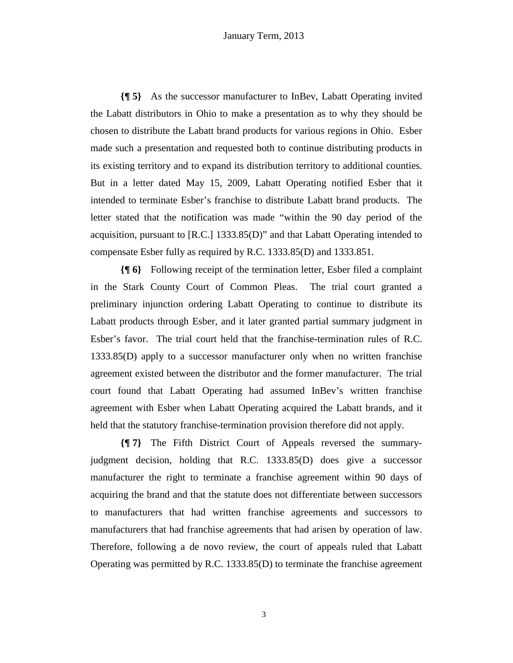**{¶ 5}** As the successor manufacturer to InBev, Labatt Operating invited the Labatt distributors in Ohio to make a presentation as to why they should be chosen to distribute the Labatt brand products for various regions in Ohio. Esber made such a presentation and requested both to continue distributing products in its existing territory and to expand its distribution territory to additional counties. But in a letter dated May 15, 2009, Labatt Operating notified Esber that it intended to terminate Esber's franchise to distribute Labatt brand products. The letter stated that the notification was made "within the 90 day period of the acquisition, pursuant to [R.C.] 1333.85(D)" and that Labatt Operating intended to compensate Esber fully as required by R.C. 1333.85(D) and 1333.851.

**{¶ 6}** Following receipt of the termination letter, Esber filed a complaint in the Stark County Court of Common Pleas. The trial court granted a preliminary injunction ordering Labatt Operating to continue to distribute its Labatt products through Esber, and it later granted partial summary judgment in Esber's favor. The trial court held that the franchise-termination rules of R.C. 1333.85(D) apply to a successor manufacturer only when no written franchise agreement existed between the distributor and the former manufacturer. The trial court found that Labatt Operating had assumed InBev's written franchise agreement with Esber when Labatt Operating acquired the Labatt brands, and it held that the statutory franchise-termination provision therefore did not apply.

**{¶ 7}** The Fifth District Court of Appeals reversed the summaryjudgment decision, holding that R.C. 1333.85(D) does give a successor manufacturer the right to terminate a franchise agreement within 90 days of acquiring the brand and that the statute does not differentiate between successors to manufacturers that had written franchise agreements and successors to manufacturers that had franchise agreements that had arisen by operation of law. Therefore, following a de novo review, the court of appeals ruled that Labatt Operating was permitted by R.C. 1333.85(D) to terminate the franchise agreement

3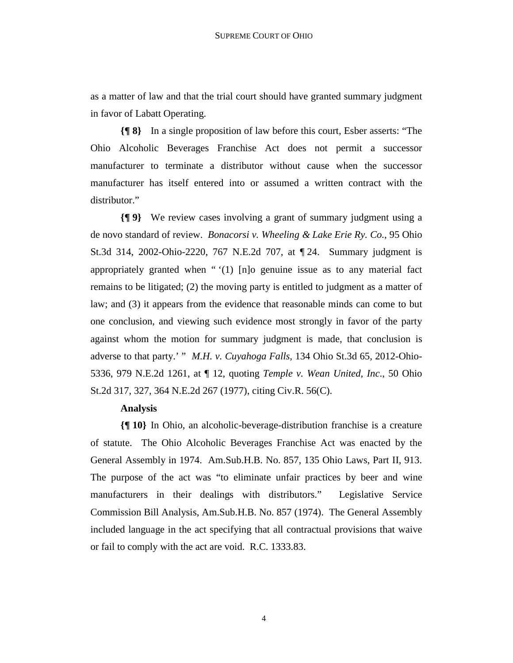as a matter of law and that the trial court should have granted summary judgment in favor of Labatt Operating.

**{¶ 8}** In a single proposition of law before this court, Esber asserts: "The Ohio Alcoholic Beverages Franchise Act does not permit a successor manufacturer to terminate a distributor without cause when the successor manufacturer has itself entered into or assumed a written contract with the distributor."

**{¶ 9}** We review cases involving a grant of summary judgment using a de novo standard of review. *Bonacorsi v. Wheeling & Lake Erie Ry. Co.*, 95 Ohio St.3d 314, 2002-Ohio-2220, 767 N.E.2d 707, at ¶ 24. Summary judgment is appropriately granted when " '(1) [n]o genuine issue as to any material fact remains to be litigated; (2) the moving party is entitled to judgment as a matter of law; and (3) it appears from the evidence that reasonable minds can come to but one conclusion, and viewing such evidence most strongly in favor of the party against whom the motion for summary judgment is made, that conclusion is adverse to that party.' " *M.H. v. Cuyahoga Falls*, 134 Ohio St.3d 65, 2012-Ohio-5336, 979 N.E.2d 1261, at ¶ 12, quoting *Temple v. Wean United, Inc*., 50 Ohio St.2d 317, 327, 364 N.E.2d 267 (1977), citing Civ.R. 56(C).

#### **Analysis**

**{¶ 10}** In Ohio, an alcoholic-beverage-distribution franchise is a creature of statute. The Ohio Alcoholic Beverages Franchise Act was enacted by the General Assembly in 1974. Am.Sub.H.B. No. 857, 135 Ohio Laws, Part II, 913. The purpose of the act was "to eliminate unfair practices by beer and wine manufacturers in their dealings with distributors." Legislative Service Commission Bill Analysis, Am.Sub.H.B. No. 857 (1974). The General Assembly included language in the act specifying that all contractual provisions that waive or fail to comply with the act are void. R.C. 1333.83.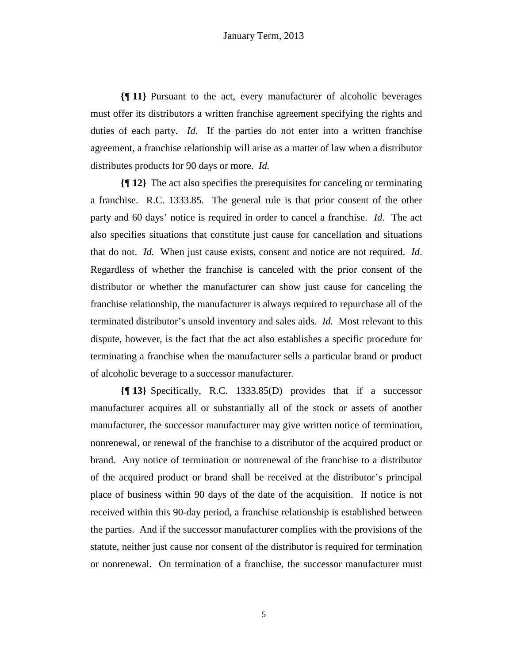**{¶ 11}** Pursuant to the act, every manufacturer of alcoholic beverages must offer its distributors a written franchise agreement specifying the rights and duties of each party. *Id.* If the parties do not enter into a written franchise agreement, a franchise relationship will arise as a matter of law when a distributor distributes products for 90 days or more. *Id.* 

**{¶ 12}** The act also specifies the prerequisites for canceling or terminating a franchise. R.C. 1333.85. The general rule is that prior consent of the other party and 60 days' notice is required in order to cancel a franchise. *Id*. The act also specifies situations that constitute just cause for cancellation and situations that do not. *Id.* When just cause exists, consent and notice are not required. *Id*. Regardless of whether the franchise is canceled with the prior consent of the distributor or whether the manufacturer can show just cause for canceling the franchise relationship, the manufacturer is always required to repurchase all of the terminated distributor's unsold inventory and sales aids. *Id.* Most relevant to this dispute, however, is the fact that the act also establishes a specific procedure for terminating a franchise when the manufacturer sells a particular brand or product of alcoholic beverage to a successor manufacturer.

**{¶ 13}** Specifically, R.C. 1333.85(D) provides that if a successor manufacturer acquires all or substantially all of the stock or assets of another manufacturer, the successor manufacturer may give written notice of termination, nonrenewal, or renewal of the franchise to a distributor of the acquired product or brand. Any notice of termination or nonrenewal of the franchise to a distributor of the acquired product or brand shall be received at the distributor's principal place of business within 90 days of the date of the acquisition. If notice is not received within this 90-day period, a franchise relationship is established between the parties. And if the successor manufacturer complies with the provisions of the statute, neither just cause nor consent of the distributor is required for termination or nonrenewal. On termination of a franchise, the successor manufacturer must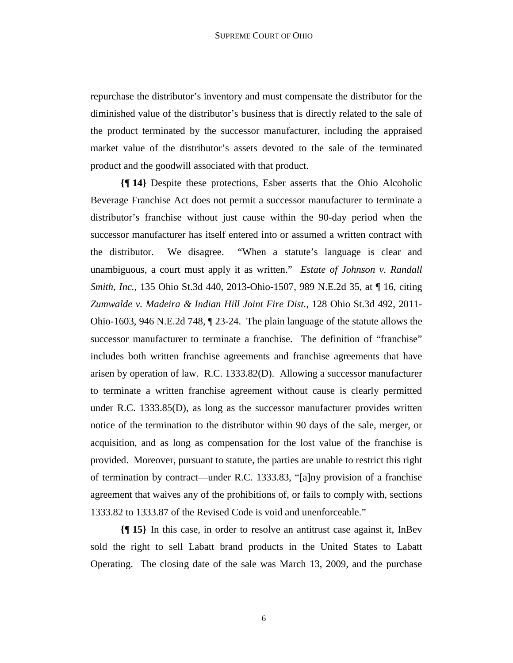repurchase the distributor's inventory and must compensate the distributor for the diminished value of the distributor's business that is directly related to the sale of the product terminated by the successor manufacturer, including the appraised market value of the distributor's assets devoted to the sale of the terminated product and the goodwill associated with that product.

**{¶ 14}** Despite these protections, Esber asserts that the Ohio Alcoholic Beverage Franchise Act does not permit a successor manufacturer to terminate a distributor's franchise without just cause within the 90-day period when the successor manufacturer has itself entered into or assumed a written contract with the distributor. We disagree. "When a statute's language is clear and unambiguous, a court must apply it as written." *Estate of Johnson v. Randall Smith, Inc.,* 135 Ohio St.3d 440, 2013-Ohio-1507, 989 N.E.2d 35, at ¶ 16, citing *Zumwalde v. Madeira & Indian Hill Joint Fire Dist.,* 128 Ohio St.3d 492, 2011- Ohio-1603, 946 N.E.2d 748, ¶ 23-24. The plain language of the statute allows the successor manufacturer to terminate a franchise. The definition of "franchise" includes both written franchise agreements and franchise agreements that have arisen by operation of law. R.C. 1333.82(D). Allowing a successor manufacturer to terminate a written franchise agreement without cause is clearly permitted under R.C. 1333.85(D), as long as the successor manufacturer provides written notice of the termination to the distributor within 90 days of the sale, merger, or acquisition, and as long as compensation for the lost value of the franchise is provided. Moreover, pursuant to statute, the parties are unable to restrict this right of termination by contract—under R.C. 1333.83, "[a]ny provision of a franchise agreement that waives any of the prohibitions of, or fails to comply with, sections 1333.82 to 1333.87 of the Revised Code is void and unenforceable."

**{¶ 15}** In this case, in order to resolve an antitrust case against it, InBev sold the right to sell Labatt brand products in the United States to Labatt Operating. The closing date of the sale was March 13, 2009, and the purchase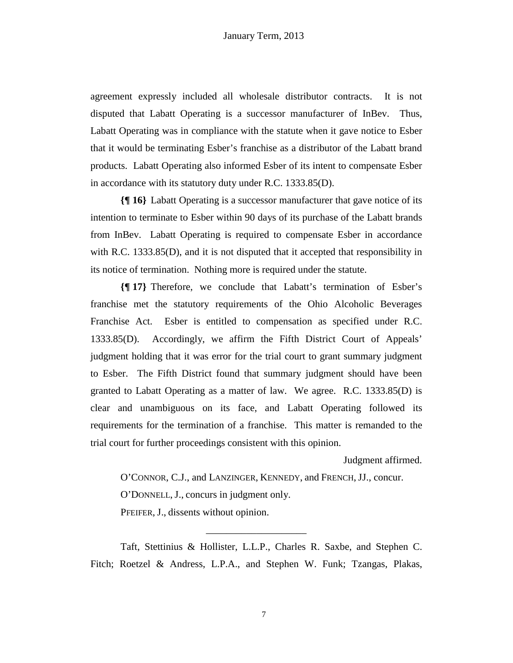agreement expressly included all wholesale distributor contracts. It is not disputed that Labatt Operating is a successor manufacturer of InBev. Thus, Labatt Operating was in compliance with the statute when it gave notice to Esber that it would be terminating Esber's franchise as a distributor of the Labatt brand products. Labatt Operating also informed Esber of its intent to compensate Esber in accordance with its statutory duty under R.C. 1333.85(D).

**{¶ 16}** Labatt Operating is a successor manufacturer that gave notice of its intention to terminate to Esber within 90 days of its purchase of the Labatt brands from InBev. Labatt Operating is required to compensate Esber in accordance with R.C. 1333.85(D), and it is not disputed that it accepted that responsibility in its notice of termination. Nothing more is required under the statute.

**{¶ 17}** Therefore, we conclude that Labatt's termination of Esber's franchise met the statutory requirements of the Ohio Alcoholic Beverages Franchise Act. Esber is entitled to compensation as specified under R.C. 1333.85(D). Accordingly, we affirm the Fifth District Court of Appeals' judgment holding that it was error for the trial court to grant summary judgment to Esber. The Fifth District found that summary judgment should have been granted to Labatt Operating as a matter of law. We agree. R.C. 1333.85(D) is clear and unambiguous on its face, and Labatt Operating followed its requirements for the termination of a franchise. This matter is remanded to the trial court for further proceedings consistent with this opinion.

Judgment affirmed.

O'CONNOR, C.J., and LANZINGER, KENNEDY, and FRENCH, JJ., concur. O'DONNELL, J., concurs in judgment only. PFEIFER, J., dissents without opinion.

Taft, Stettinius & Hollister, L.L.P., Charles R. Saxbe, and Stephen C. Fitch; Roetzel & Andress, L.P.A., and Stephen W. Funk; Tzangas, Plakas,

\_\_\_\_\_\_\_\_\_\_\_\_\_\_\_\_\_\_\_\_

7